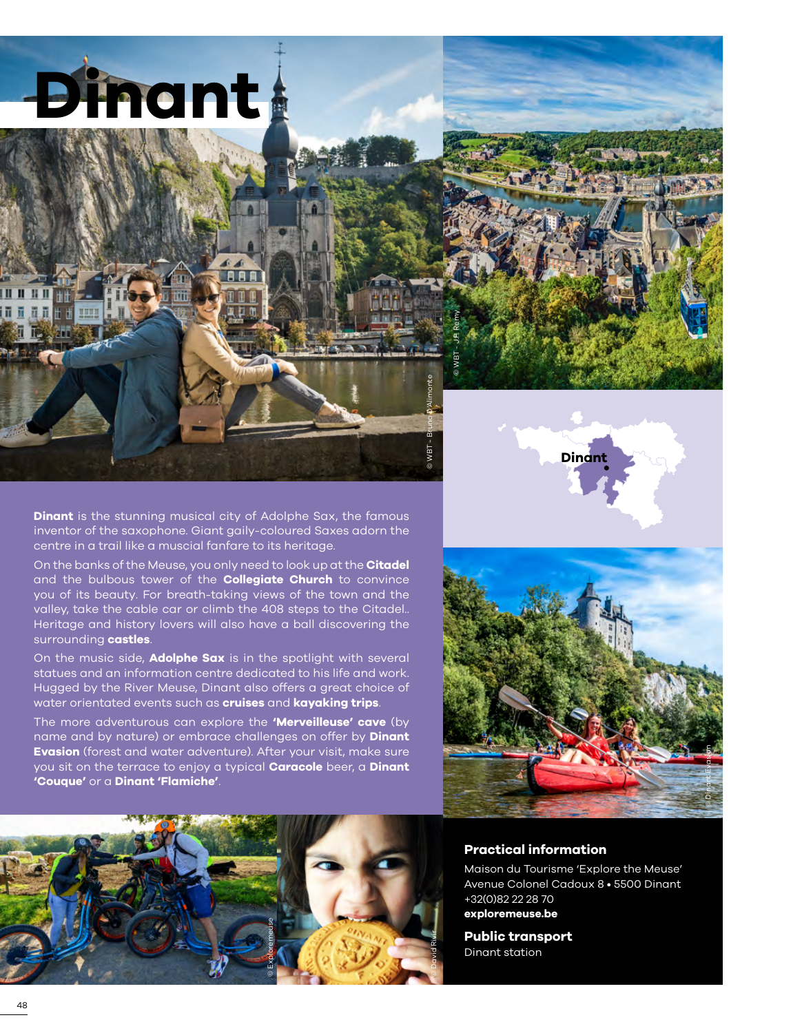



**Dinant** is the stunning musical city of Adolphe Sax, the famous inventor of the saxophone. Giant gaily-coloured Saxes adorn the centre in a trail like a muscial fanfare to its heritage.

On the banks of the Meuse, you only need to look up at the **Citadel**  and the bulbous tower of the **Collegiate Church** to convince you of its beauty. For breath-taking views of the town and the valley, take the cable car or climb the 408 steps to the Citadel.. Heritage and history lovers will also have a ball discovering the surrounding **castles**.

On the music side, **Adolphe Sax** is in the spotlight with several statues and an information centre dedicated to his life and work. Hugged by the River Meuse, Dinant also offers a great choice of water orientated events such as **cruises** and **kayaking trips**.

The more adventurous can explore the **'Merveilleuse' cave** (by name and by nature) or embrace challenges on offer by **Dinant Evasion** (forest and water adventure). After your visit, make sure you sit on the terrace to enjoy a typical **Caracole** beer, a **Dinant 'Couque'** or a **Dinant 'Flamiche'**.





## **Practical information**

Maison du Tourisme 'Explore the Meuse' Avenue Colonel Cadoux 8 • 5500 Dinant +32(0)82 22 28 70

**[exploremeuse.be](www.exploremeuse.be)**

**Public transport** Dinant station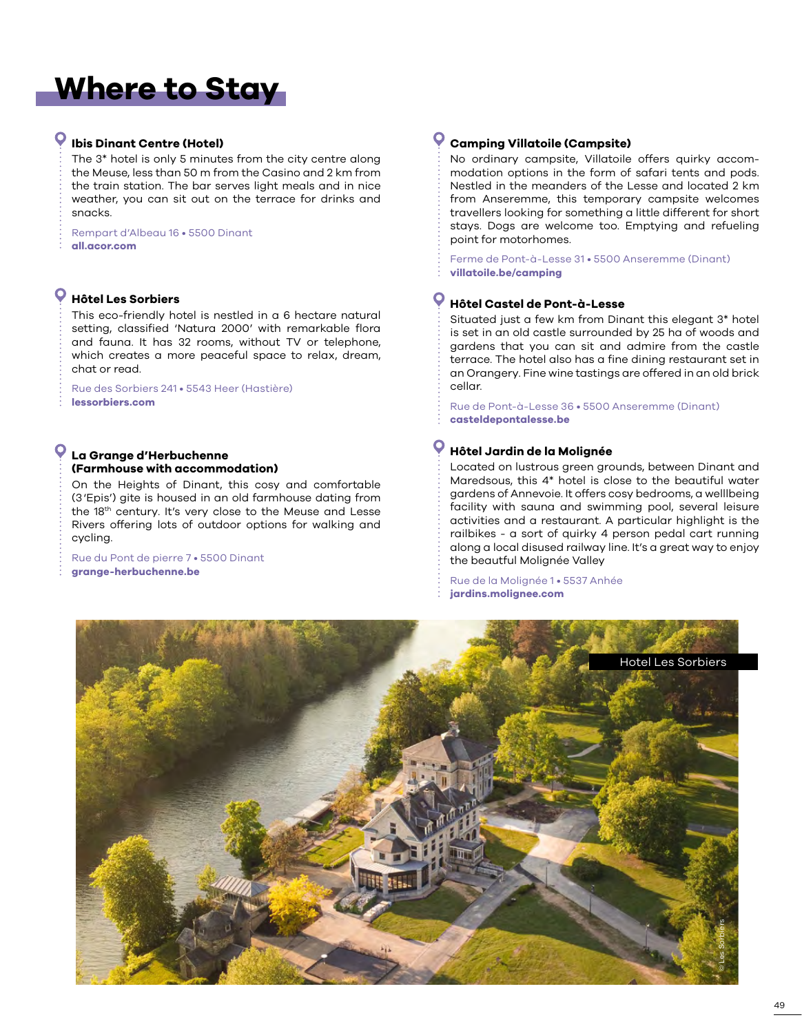# **Where to Stay**

# **Ibis Dinant Centre (Hotel)**

The 3\* hotel is only 5 minutes from the city centre along the Meuse, less than 50 m from the Casino and 2 km from the train station. The bar serves light meals and in nice weather, you can sit out on the terrace for drinks and snacks.

Rempart d'Albeau 16 • 5500 Dinant **[all.acor.com](www.all.acor.com)**

## **Hôtel Les Sorbiers**

This eco-friendly hotel is nestled in a 6 hectare natural setting, classified 'Natura 2000' with remarkable flora and fauna. It has 32 rooms, without TV or telephone, which creates a more peaceful space to relax, dream, chat or read.

Rue des Sorbiers 241 • 5543 Heer (Hastière) **[lessorbiers.com](www.lessorbiers.com)**

### **La Grange d'Herbuchenne (Farmhouse with accommodation)**

On the Heights of Dinant, this cosy and comfortable (3'Epis') gite is housed in an old farmhouse dating from the 18th century. It's very close to the Meuse and Lesse Rivers offering lots of outdoor options for walking and cycling.

Rue du Pont de pierre 7 • 5500 Dinant **[grange-herbuchenne.be](http://www.grange-herbuchenne.be)**

## **Camping Villatoile (Campsite)**

No ordinary campsite, Villatoile offers quirky accommodation options in the form of safari tents and pods. Nestled in the meanders of the Lesse and located 2 km from Anseremme, this temporary campsite welcomes travellers looking for something a little different for short stays. Dogs are welcome too. Emptying and refueling point for motorhomes.

Ferme de Pont-à-Lesse 31 • 5500 Anseremme (Dinant) **[villatoile.be/camping](https://villatoile.be/camping/)**

## **Hôtel Castel de Pont-à-Lesse**

Situated just a few km from Dinant this elegant 3\* hotel is set in an old castle surrounded by 25 ha of woods and gardens that you can sit and admire from the castle terrace. The hotel also has a fine dining restaurant set in an Orangery. Fine wine tastings are offered in an old brick cellar.

Rue de Pont-à-Lesse 36 • 5500 Anseremme (Dinant) **[casteldepontalesse.be](www.casteldepontalesse.be)**

# **Hôtel Jardin de la Molignée**

Located on lustrous green grounds, between Dinant and Maredsous, this 4\* hotel is close to the beautiful water gardens of Annevoie. It offers cosy bedrooms, a welllbeing facility with sauna and swimming pool, several leisure activities and a restaurant. A particular highlight is the railbikes - a sort of quirky 4 person pedal cart running along a local disused railway line. It's a great way to enjoy the beautful Molignée Valley

Rue de la Molignée 1 • 5537 Anhée **[jardins.molignee.com](www.jardins.molignee.com)**

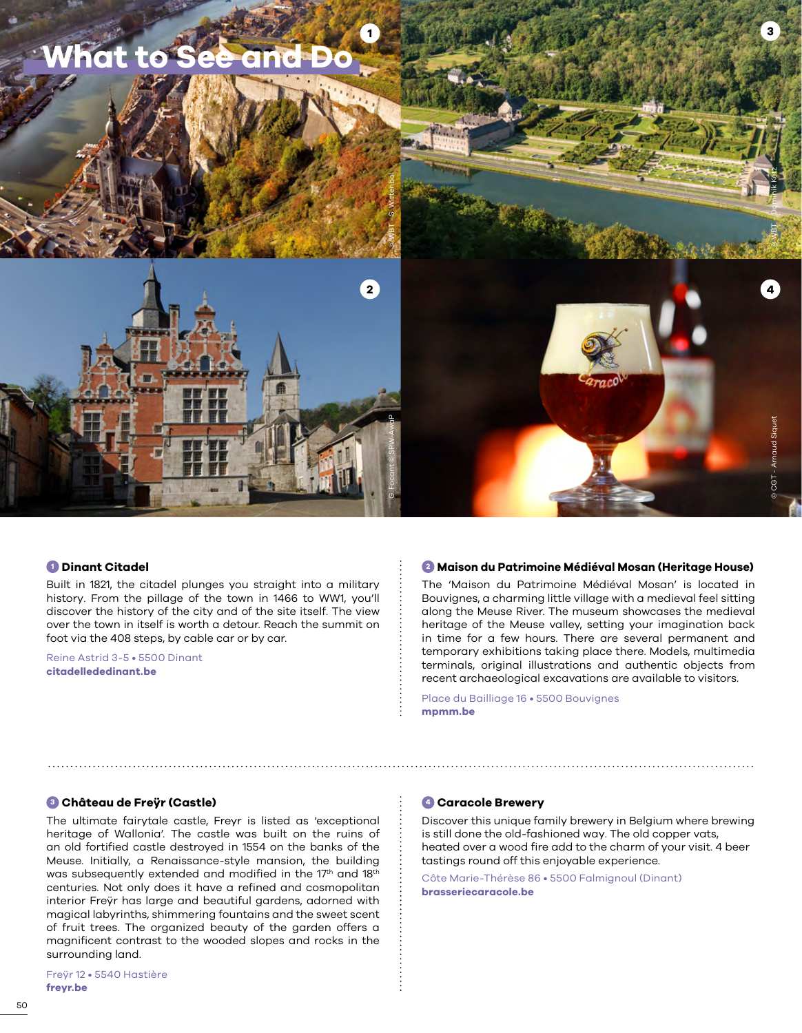

#### **<sup>1</sup> Dinant Citadel**

Built in 1821, the citadel plunges you straight into a military history. From the pillage of the town in 1466 to WW1, you'll discover the history of the city and of the site itself. The view over the town in itself is worth a detour. Reach the summit on foot via the 408 steps, by cable car or by car.

Reine Astrid 3-5 • 5500 Dinant **[citadellededinant.be](https://www.citadellededinant.be/)**

#### **<sup>2</sup> Maison du Patrimoine Médiéval Mosan (Heritage House)**

The 'Maison du Patrimoine Médiéval Mosan' is located in Bouvignes, a charming little village with a medieval feel sitting along the Meuse River. The museum showcases the medieval heritage of the Meuse valley, setting your imagination back in time for a few hours. There are several permanent and temporary exhibitions taking place there. Models, multimedia terminals, original illustrations and authentic objects from recent archaeological excavations are available to visitors.

Place du Bailliage 16 • 5500 Bouvignes **[mpmm.be](https://www.mpmm.be/)**

#### **<sup>3</sup> Château de Freÿr (Castle)**

The ultimate fairytale castle, Freyr is listed as 'exceptional heritage of Wallonia'. The castle was built on the ruins of an old fortified castle destroyed in 1554 on the banks of the Meuse. Initially, a Renaissance-style mansion, the building was subsequently extended and modified in the 17<sup>th</sup> and 18<sup>th</sup> centuries. Not only does it have a refined and cosmopolitan interior Freÿr has large and beautiful gardens, adorned with magical labyrinths, shimmering fountains and the sweet scent of fruit trees. The organized beauty of the garden offers a magnificent contrast to the wooded slopes and rocks in the surrounding land.

#### **<sup>4</sup> Caracole Brewery**

Discover this unique family brewery in Belgium where brewing is still done the old-fashioned way. The old copper vats, heated over a wood fire add to the charm of your visit. 4 beer tastings round off this enjoyable experience.

Côte Marie-Thérèse 86 • 5500 Falmignoul (Dinant) **[brasseriecaracole.be](https://www.brasseriecaracole.be)**

Freÿr 12 • 5540 Hastière **[freyr.be](http://www.freyr.be/)**